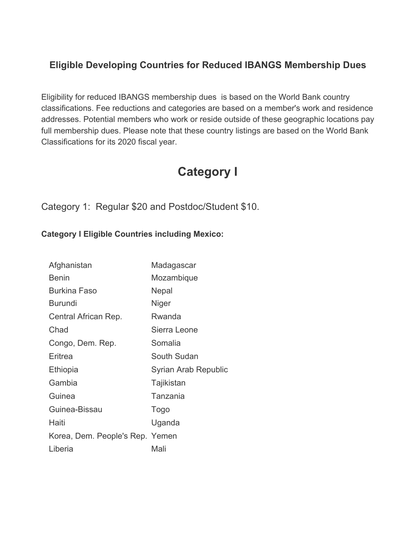#### **Eligible Developing Countries for Reduced IBANGS Membership Dues**

Eligibility for reduced IBANGS membership dues is based on the World Bank country classifications. Fee reductions and categories are based on a member's work and residence addresses. Potential members who work or reside outside of these geographic locations pay full membership dues. Please note that these country listings are based on the World Bank Classifications for its 2020 fiscal year.

### **Category I**

Category 1: Regular \$20 and Postdoc/Student \$10.

#### **Category I Eligible Countries including Mexico:**

| Afghanistan                     | Madagascar           |
|---------------------------------|----------------------|
| <b>Benin</b>                    | Mozambique           |
| <b>Burkina Faso</b>             | Nepal                |
| <b>Burundi</b>                  | Niger                |
| Central African Rep.            | Rwanda               |
| Chad                            | Sierra Leone         |
| Congo, Dem. Rep.                | Somalia              |
| Eritrea                         | South Sudan          |
| Ethiopia                        | Syrian Arab Republic |
| Gambia                          | Tajikistan           |
| Guinea                          | Tanzania             |
| Guinea-Bissau                   | Togo                 |
| Haiti                           | Uganda               |
| Korea, Dem. People's Rep. Yemen |                      |
| Liberia                         | Mali                 |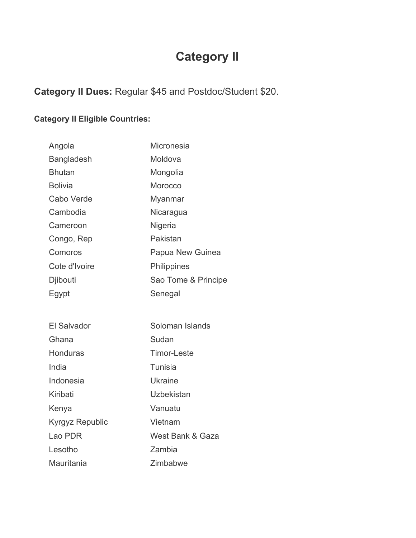# **Category II**

#### **Category II Dues:** Regular \$45 and Postdoc/Student \$20.

#### **Category II Eligible Countries:**

| Angola                 | <b>Micronesia</b>   |
|------------------------|---------------------|
| Bangladesh             | Moldova             |
| <b>Bhutan</b>          | Mongolia            |
| <b>Bolivia</b>         | Morocco             |
| Cabo Verde             | Myanmar             |
| Cambodia               | Nicaragua           |
| Cameroon               | Nigeria             |
| Congo, Rep             | Pakistan            |
| Comoros                | Papua New Guinea    |
| Cote d'Ivoire          | Philippines         |
| Djibouti               | Sao Tome & Principe |
| Egypt                  | Senegal             |
|                        |                     |
| <b>El Salvador</b>     | Soloman Islands     |
| Ghana                  | Sudan               |
| <b>Honduras</b>        | <b>Timor-Leste</b>  |
| India                  | <b>Tunisia</b>      |
| Indonesia              | <b>Ukraine</b>      |
| Kiribati               | <b>Uzbekistan</b>   |
| Kenya                  | Vanuatu             |
| <b>Kyrgyz Republic</b> | Vietnam             |
| Lao PDR                | West Bank & Gaza    |
| Lesotho                | Zambia              |
| Mauritania             | Zimbabwe            |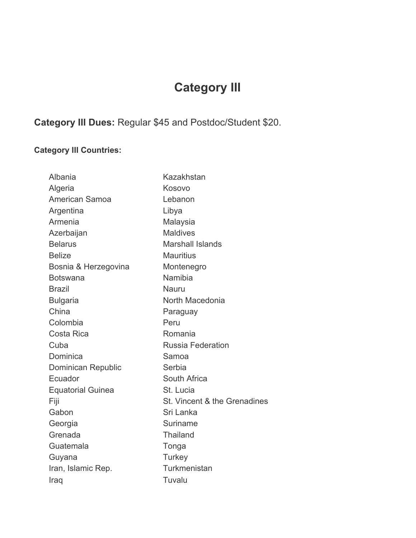# **Category III**

### **Category III Dues:** Regular \$45 and Postdoc/Student \$20.

#### **Category III Countries:**

| Albania                  | Kazakhstan                   |
|--------------------------|------------------------------|
| Algeria                  | Kosovo                       |
| <b>American Samoa</b>    | Lebanon                      |
| Argentina                | Libya                        |
| Armenia                  | Malaysia                     |
| Azerbaijan               | <b>Maldives</b>              |
| <b>Belarus</b>           | <b>Marshall Islands</b>      |
| <b>Belize</b>            | <b>Mauritius</b>             |
| Bosnia & Herzegovina     | Montenegro                   |
| <b>Botswana</b>          | Namibia                      |
| <b>Brazil</b>            | <b>Nauru</b>                 |
| <b>Bulgaria</b>          | North Macedonia              |
| China                    | Paraguay                     |
| Colombia                 | Peru                         |
| Costa Rica               | Romania                      |
| Cuba                     | <b>Russia Federation</b>     |
| Dominica                 | Samoa                        |
| Dominican Republic       | Serbia                       |
| Ecuador                  | South Africa                 |
| <b>Equatorial Guinea</b> | St. Lucia                    |
| Fiji                     | St. Vincent & the Grenadines |
| Gabon                    | Sri Lanka                    |
| Georgia                  | Suriname                     |
| Grenada                  | <b>Thailand</b>              |
| Guatemala                | Tonga                        |
| Guyana                   | Turkey                       |
| Iran, Islamic Rep.       | Turkmenistan                 |
| Iraq                     | Tuvalu                       |